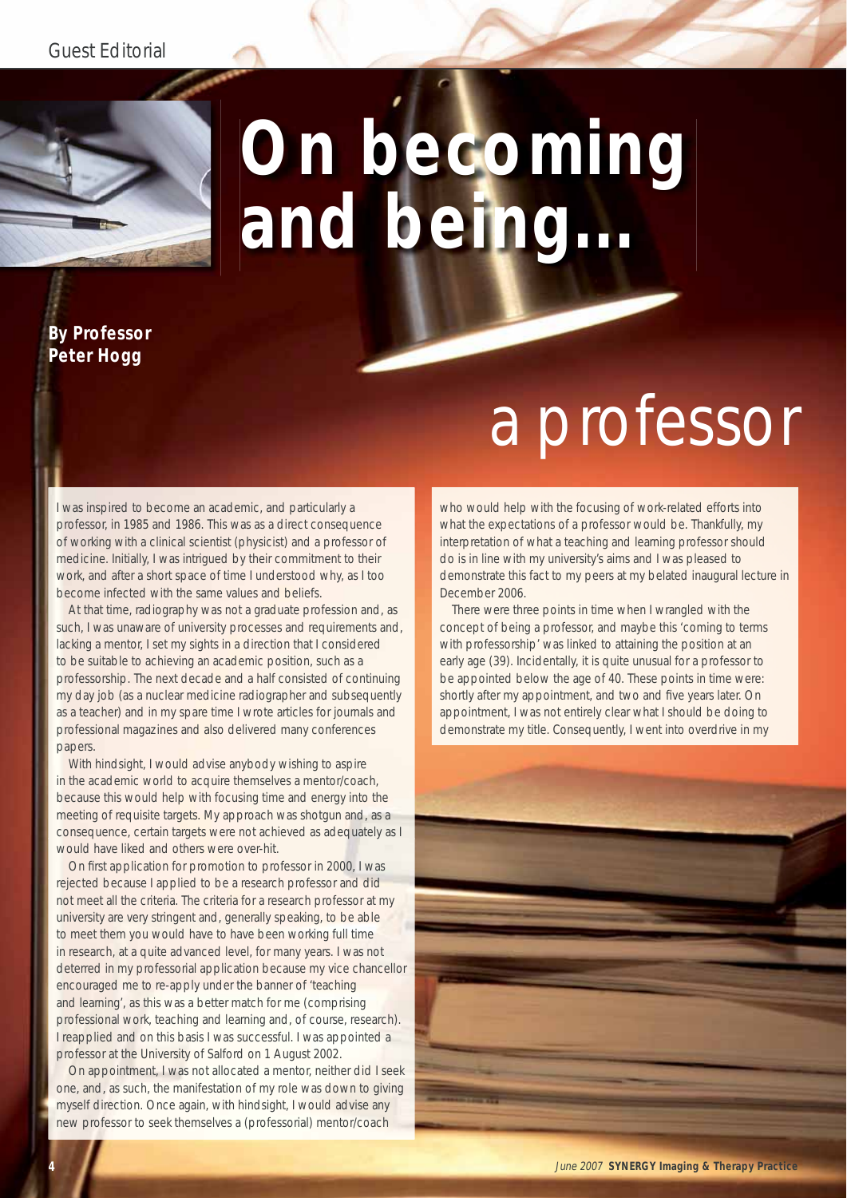# **On becoming and being...**

## **By Professor Peter Hogg**

#### I was inspired to become an academic, and particularly a professor, in 1985 and 1986. This was as a direct consequence of working with a clinical scientist (physicist) and a professor of medicine. Initially, I was intrigued by their commitment to their work, and after a short space of time I understood why, as I too become infected with the same values and beliefs.

At that time, radiography was not a graduate profession and, as such, I was unaware of university processes and requirements and, lacking a mentor, I set my sights in a direction that I considered to be suitable to achieving an academic position, such as a professorship. The next decade and a half consisted of continuing my day job (as a nuclear medicine radiographer and subsequently as a teacher) and in my spare time I wrote articles for journals and professional magazines and also delivered many conferences papers.

With hindsight, I would advise anybody wishing to aspire in the academic world to acquire themselves a mentor/coach, because this would help with focusing time and energy into the meeting of requisite targets. My approach was shotgun and, as a consequence, certain targets were not achieved as adequately as I would have liked and others were over-hit.

On first application for promotion to professor in 2000, I was rejected because I applied to be a research professor and did not meet all the criteria. The criteria for a research professor at my university are very stringent and, generally speaking, to be able to meet them you would have to have been working full time in research, at a quite advanced level, for many years. I was not deterred in my professorial application because my vice chancellor encouraged me to re-apply under the banner of 'teaching and learning', as this was a better match for me (comprising professional work, teaching and learning and, of course, research). I reapplied and on this basis I was successful. I was appointed a professor at the University of Salford on 1 August 2002.

On appointment, I was not allocated a mentor, neither did I seek one, and, as such, the manifestation of my role was down to giving myself direction. Once again, with hindsight, I would advise any new professor to seek themselves a (professorial) mentor/coach

## a professor

who would help with the focusing of work-related efforts into what the expectations of a professor would be. Thankfully, my interpretation of what a teaching and learning professor should do is in line with my university's aims and I was pleased to demonstrate this fact to my peers at my belated inaugural lecture in December 2006.

There were three points in time when I wrangled with the concept of being a professor, and maybe this 'coming to terms with professorship' was linked to attaining the position at an early age (39). Incidentally, it is quite unusual for a professor to be appointed below the age of 40. These points in time were: shortly after my appointment, and two and five years later. On appointment, I was not entirely clear what I should be doing to demonstrate my title. Consequently, I went into overdrive in my